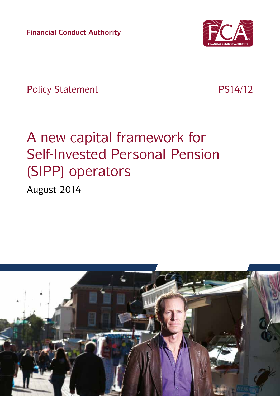**Financial Conduct Authority**



Policy Statement PS14/12

# A new capital framework for Self-Invested Personal Pension (SIPP) operators

August 2014

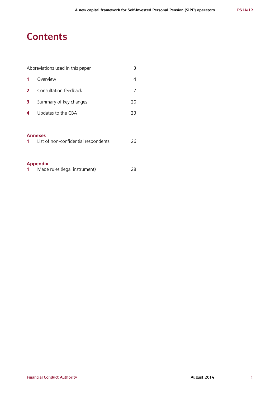# **Contents**

|              | Abbreviations used in this paper |    |
|--------------|----------------------------------|----|
|              | Overview                         |    |
| $\mathbf{2}$ | Consultation feedback            |    |
| 3            | Summary of key changes           | 20 |
| 4            | Updates to the CBA               | 23 |
|              |                                  |    |

#### **Annexes**

| 26 |
|----|
|    |

# **Appendix**

|  | Made rules (legal instrument) | 28 |
|--|-------------------------------|----|
|--|-------------------------------|----|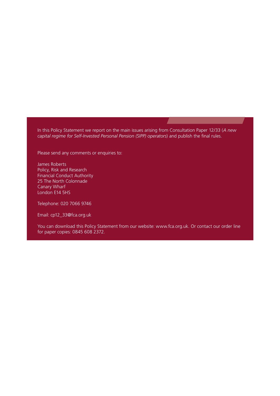In this Policy Statement we report on the main issues arising from Consultation Paper 12/33 (*[A new](http://www.fsa.gov.uk/static/pubs/cp/cp12-33.pdf)  [capital regime for Self-Invested Personal Pension \(SIPP\) operators](http://www.fsa.gov.uk/static/pubs/cp/cp12-33.pdf)*) and publish the final rules.

Please send any comments or enquiries to:

James Roberts Policy, Risk and Research Financial Conduct Authority 25 The North Colonnade Canary Wharf London E14 5HS

Telephone: 020 7066 9746

Email: [cp12\\_33@fca.org.uk](mailto:cp12_33%40fca.org.uk?subject=)

You can download this Policy Statement from our website: [www.fca.org.uk](http://www.fca.org.uk). Or contact our order line for paper copies: 0845 608 2372.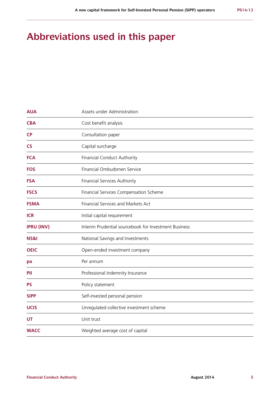# **Abbreviations used in this paper**

| <b>AUA</b>        | Assets under Administration                           |
|-------------------|-------------------------------------------------------|
| <b>CBA</b>        | Cost benefit analysis                                 |
| <b>CP</b>         | Consultation paper                                    |
| <b>CS</b>         | Capital surcharge                                     |
| <b>FCA</b>        | Financial Conduct Authority                           |
| <b>FOS</b>        | Financial Ombudsmen Service                           |
| <b>FSA</b>        | Financial Services Authority                          |
| <b>FSCS</b>       | Financial Services Compensation Scheme                |
| <b>FSMA</b>       | Financial Services and Markets Act                    |
| <b>ICR</b>        | Initial capital requirement                           |
| <b>IPRU (INV)</b> | Interim Prudential sourcebook for Investment Business |
| NS&I              | National Savings and Investments                      |
| <b>OEIC</b>       | Open-ended investment company                         |
| рa                | Per annum                                             |
| PII               | Professional Indemnity Insurance                      |
| <b>PS</b>         | Policy statement                                      |
| <b>SIPP</b>       | Self-invested personal pension                        |
| <b>UCIS</b>       | Unregulated collective investment scheme              |
| <b>UT</b>         | Unit trust                                            |
| <b>WACC</b>       | Weighted average cost of capital                      |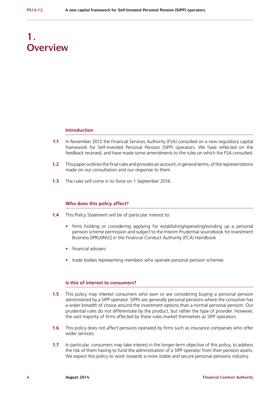# **1. Overview**

#### **Introduction**

- **1.1** In November 2012 the Financial Services Authority (FSA) consulted on a new regulatory capital framework for Self-Invested Personal Pension (SIPP) operators. We have reflected on the feedback received, and have made some amendments to the rules on which the FSA consulted.
- **1.2** This paper outlines the final rules and provides an account, in general terms, of the representations made on our consultation and our response to them.
- **1.3** The rules will come in to force on 1 September 2016.

#### **Who does this policy affect?**

- **1.4** This Policy Statement will be of particular interest to:
	- **•** firms holding or considering applying for establishing/operating/winding up a personal pension scheme permission and subject to the Interim Prudential sourcebook for Investment Business [IPRU(INV)] in the Financial Conduct Authority (FCA) Handbook
	- **•** financial advisers
	- **•** trade bodies representing members who operate personal pension schemes

#### **Is this of interest to consumers?**

- **1.5** This policy may interest consumers who own or are considering buying a personal pension administered by a SIPP operator. SIPPs are generally personal pensions where the consumer has a wider breadth of choice around the investment options than a normal personal pension. Our prudential rules do not differentiate by the product, but rather the type of provider. However, the vast majority of firms affected by these rules market themselves as SIPP operators.
- **1.6** This policy does not affect pensions operated by firms such as insurance companies who offer wider services.
- **1.7** In particular, consumers may take interest in the longer-term objective of this policy, to address the risk of them having to fund the administration of a SIPP operator from their pension assets. We expect this policy to work towards a more stable and secure personal pensions industry.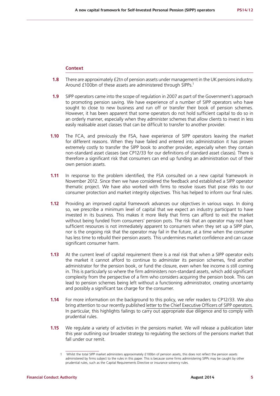#### **Context**

- **1.8** There are approximately £2tn of pension assets under management in the UK pensions industry. Around £100bn of these assets are administered through SIPPs.<sup>1</sup>
- **1.9** SIPP operators came into the scope of regulation in 2007 as part of the Government's approach to promoting pension saving. We have experience of a number of SIPP operators who have sought to close to new business and run off or transfer their book of pension schemes. However, it has been apparent that some operators do not hold sufficient capital to do so in an orderly manner, especially when they administer schemes that allow clients to invest in less easily realisable asset classes that can be difficult to transfer to another provider.
- **1.10** The FCA, and previously the FSA, have experience of SIPP operators leaving the market for different reasons. When they have failed and entered into administration it has proven extremely costly to transfer the SIPP book to another provider, especially when they contain non-standard asset classes (see CP12/33 for our definitions of standard asset classes). There is therefore a significant risk that consumers can end up funding an administration out of their own pension assets.
- **1.11** In response to the problem identified, the FSA consulted on a new capital framework in November 2012. Since then we have considered the feedback and established a SIPP operator thematic project. We have also worked with firms to resolve issues that pose risks to our consumer protection and market integrity objectives. This has helped to inform our final rules.
- **1.12** Providing an improved capital framework advances our objectives in various ways. In doing so, we prescribe a minimum level of capital that we expect an industry participant to have invested in its business. This makes it more likely that firms can afford to exit the market without being funded from consumers' pension pots. The risk that an operator may not have sufficient resources is not immediately apparent to consumers when they set up a SIPP plan, nor is the ongoing risk that the operator may fail in the future, at a time when the consumer has less time to rebuild their pension assets. This undermines market confidence and can cause significant consumer harm.
- **1.13** At the current level of capital requirement there is a real risk that when a SIPP operator exits the market it cannot afford to continue to administer its pension schemes, find another administrator for the pension book, or fund the closure, even when fee income is still coming in. This is particularly so where the firm administers non-standard assets, which add significant complexity from the perspective of a firm who considers acquiring the pension book. This can lead to pension schemes being left without a functioning administrator, creating uncertainty and possibly a significant tax charge for the consumer.
- **1.14** For more information on the background to this policy, we refer readers to CP12/33. We also bring attention to our recently published [letter to the Chief Executive Officers of SIPP operators.](http://www.fca.org.uk/your-fca/documents/dear-ceo-letters/dear-ceo-letter-sipp-operators) In particular, this highlights failings to carry out appropriate due diligence and to comply with prudential rules.
- **1.15** We regulate a variety of activities in the pensions market. We will release a publication later this year outlining our broader strategy to regulating the sections of the pensions market that fall under our remit.

<sup>1</sup> Whilst the total SIPP market administers approximately £100bn of pension assets, this does not reflect the pension assets administered by firms subject to the rules in this paper. This is because some firms administering SIPPs may be caught by other prudential rules, such as the Capital Requirements Directive or insurance solvency rules.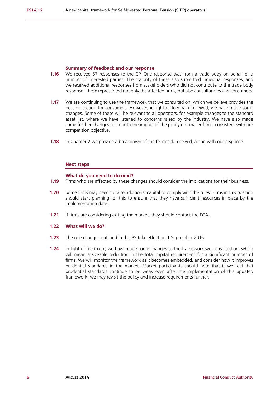#### **Summary of feedback and our response**

- **1.16** We received 57 responses to the CP. One response was from a trade body on behalf of a number of interested parties. The majority of these also submitted individual responses, and we received additional responses from stakeholders who did not contribute to the trade body response. These represented not only the affected firms, but also consultancies and consumers.
- **1.17** We are continuing to use the framework that we consulted on, which we believe provides the best protection for consumers. However, in light of feedback received, we have made some changes. Some of these will be relevant to all operators, for example changes to the standard asset list, where we have listened to concerns raised by the industry. We have also made some further changes to smooth the impact of the policy on smaller firms, consistent with our competition objective.
- **1.18** In Chapter 2 we provide a breakdown of the feedback received, along with our response.

#### **Next steps**

#### **What do you need to do next?**

- **1.19** Firms who are affected by these changes should consider the implications for their business.
- **1.20** Some firms may need to raise additional capital to comply with the rules. Firms in this position should start planning for this to ensure that they have sufficient resources in place by the implementation date.
- **1.21** If firms are considering exiting the market, they should contact the FCA.
- **1.22 What will we do?**
- **1.23** The rule changes outlined in this PS take effect on 1 September 2016.
- **1.24** In light of feedback, we have made some changes to the framework we consulted on, which will mean a sizeable reduction in the total capital requirement for a significant number of firms. We will monitor the framework as it becomes embedded, and consider how it improves prudential standards in the market. Market participants should note that if we feel that prudential standards continue to be weak even after the implementation of this updated framework, we may revisit the policy and increase requirements further.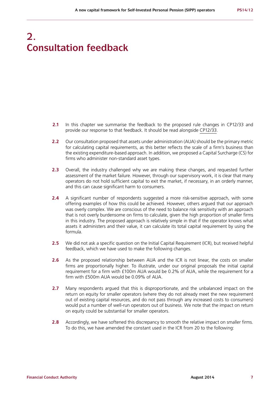# **2. Consultation feedback**

- **2.1** In this chapter we summarise the feedback to the proposed rule changes in CP12/33 and provide our response to that feedback. It should be read alongside [CP12/33.](http://www.fsa.gov.uk/static/pubs/cp/cp12-33.pdf)
- **2.2** Our consultation proposed that assets under administration (AUA) should be the primary metric for calculating capital requirements, as this better reflects the scale of a firm's business than the existing expenditure-based approach. In addition, we proposed a Capital Surcharge (CS) for firms who administer non-standard asset types.
- **2.3** Overall, the industry challenged why we are making these changes, and requested further assessment of the market failure. However, through our supervisory work, it is clear that many operators do not hold sufficient capital to exit the market, if necessary, in an orderly manner, and this can cause significant harm to consumers.
- **2.4** A significant number of respondents suggested a more risk-sensitive approach, with some offering examples of how this could be achieved. However, others argued that our approach was overly complex. We are conscious of the need to balance risk sensitivity with an approach that is not overly burdensome on firms to calculate, given the high proportion of smaller firms in this industry. The proposed approach is relatively simple in that if the operator knows what assets it administers and their value, it can calculate its total capital requirement by using the formula.
- **2.5** We did not ask a specific question on the Initial Capital Requirement (ICR), but received helpful feedback, which we have used to make the following changes.
- **2.6** As the proposed relationship between AUA and the ICR is not linear, the costs on smaller firms are proportionally higher. To illustrate, under our original proposals the initial capital requirement for a firm with £100m AUA would be 0.2% of AUA, while the requirement for a firm with £500m AUA would be 0.09% of AUA.
- **2.7** Many respondents argued that this is disproportionate, and the unbalanced impact on the return on equity for smaller operators (where they do not already meet the new requirement out of existing capital resources, and do not pass through any increased costs to consumers) would put a number of well-run operators out of business. We note that the impact on return on equity could be substantial for smaller operators.
- **2.8** Accordingly, we have softened this discrepancy to smooth the relative impact on smaller firms. To do this, we have amended the constant used in the ICR from 20 to the following: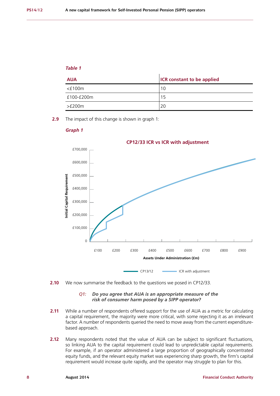# *Table 1*

| <b>AUA</b>   | <b>ICR</b> constant to be applied |
|--------------|-----------------------------------|
| $<$ £100 $m$ | 10                                |
| £100-£200m   | 15                                |
| >E200m       | 20                                |

**2.9** The impact of this change is shown in graph 1:

#### *Graph 1*



**2.10** We now summarise the feedback to the questions we posed in CP12/33.

#### *Q1: Do you agree that AUA is an appropriate measure of the risk of consumer harm posed by a SIPP operator?*

- **2.11** While a number of respondents offered support for the use of AUA as a metric for calculating a capital requirement, the majority were more critical, with some rejecting it as an irrelevant factor. A number of respondents queried the need to move away from the current expenditurebased approach.
- **2.12** Many respondents noted that the value of AUA can be subject to significant fluctuations, so linking AUA to the capital requirement could lead to unpredictable capital requirements. For example, if an operator administered a large proportion of geographically concentrated equity funds, and the relevant equity market was experiencing sharp growth, the firm's capital requirement would increase quite rapidly, and the operator may struggle to plan for this.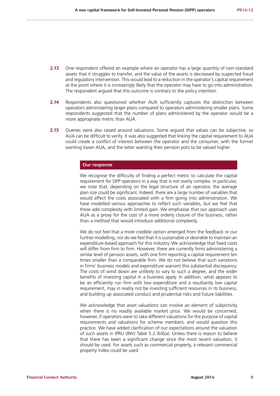- **2.13** One respondent offered an example where an operator has a large quantity of non-standard assets that it struggles to transfer, and the value of the assets is decreased by suspected fraud and regulatory intervention. This would lead to a reduction in the operator's capital requirement at the point where it is increasingly likely that the operator may have to go into administration. The respondent argued that this outcome is contrary to the policy intention.
- **2.14** Respondents also questioned whether AUA sufficiently captures the distinction between operators administering larger plans compared to operators administering smaller plans. Some respondents suggested that the number of plans administered by the operator would be a more appropriate metric than AUA.
- **2.15** Queries were also raised around valuations. Some argued that values can be subjective, so AUA can be difficult to verify. It was also suggested that linking the capital requirement to AUA could create a conflict of interest between the operator and the consumer, with the former wanting lower AUA, and the latter wanting their pension pots to be valued higher.

#### **Our response**

We recognise the difficulty of finding a perfect metric to calculate the capital requirement for SIPP operators in a way that is not overly complex. In particular, we note that, depending on the legal structure of an operator, the average plan size could be significant. Indeed, there are a large number of variables that would affect the costs associated with a firm going into administration. We have modelled various approaches to reflect such variables, but we feel that these add complexity with limited gain. We emphasise that our approach uses AUA as a proxy for the cost of a more orderly closure of the business, rather than a method that would introduce additional complexity.

We do not feel that a more credible option emerged from the feedback or our further modelling, nor do we feel that it is sustainable or desirable to maintain an expenditure-based approach for this industry. We acknowledge that fixed costs will differ from firm to firm. However, there are currently firms administering a similar level of pension assets, with one firm reporting a capital requirement ten times smaller than a comparable firm. We do not believe that such variations in firms' business models and expenditure warrant this substantial discrepancy. The costs of wind down are unlikely to vary to such a degree, and the wider benefits of investing capital in a business apply. In addition, what appears to be an efficiently run firm with low expenditure and a resultantly low capital requirement, may in reality not be investing sufficient resources in its business, and building up associated conduct and prudential risks and future liabilities.

We acknowledge that asset valuations can involve an element of subjectivity when there is no readily available market price. We would be concerned, however, if operators were to take different valuations for the purpose of capital requirements and valuations for scheme members, and would question this practice. We have added clarification of our expectations around the valuation of such assets in IPRU (INV) Table 5.2.3(4)(a). Unless there is reason to believe that there has been a significant change since the most recent valuation, it should be used. For assets such as commercial property, a relevant commercial property index could be used.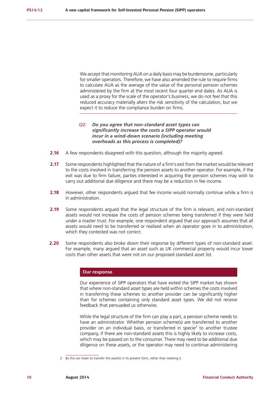We accept that monitoring AUA on a daily basis may be burdensome, particularly for smaller operators. Therefore, we have also amended the rule to require firms to calculate AUA as the average of the value of the personal pension schemes administered by the firm at the most recent four quarter end dates. As AUA is used as a proxy for the scale of the operator's business, we do not feel that this reduced accuracy materially alters the risk sensitivity of the calculation, but we expect it to reduce the compliance burden on firms.

#### *Q2: Do you agree that non-standard asset types can significantly increase the costs a SIPP operator would incur in a wind-down scenario (including meeting overheads as this process is completed)?*

- **2.16** A few respondents disagreed with this question, although the majority agreed.
- **2.17** Some respondents highlighted that the nature of a firm's exit from the market would be relevant to the costs involved in transferring the pension assets to another operator. For example, if the exit was due to firm failure, parties interested in acquiring the pension schemes may wish to carry out additional due diligence and there may be a reduction in fee income.
- **2.18** However, other respondents argued that fee income would normally continue while a firm is in administration.
- **2.19** Some respondents argued that the legal structure of the firm is relevant, and non-standard assets would not increase the costs of pension schemes being transferred if they were held under a master trust. For example, one respondent argued that our approach assumes that all assets would need to be transferred or realised when an operator goes in to administration, which they contested was not correct.
- **2.20** Some respondents also broke down their response by different types of non-standard asset. For example, many argued that an asset such as UK commercial property would incur lower costs than other assets that were not on our proposed standard asset list.

#### **Our response**

Our experience of SIPP operators that have exited the SIPP market has shown that where non-standard asset types are held within schemes the costs involved in transferring these schemes to another provider can be significantly higher than for schemes containing only standard asset types. We did not receive feedback that persuaded us otherwise.

While the legal structure of the firm can play a part, a pension scheme needs to have an administrator. Whether pension scheme(s) are transferred to another provider on an individual basis, or transferred in specie<sup>2</sup> to another trustee company, if there are non-standard assets this is highly likely to increase costs, which may be passed on to the consumer. There may need to be additional due diligence on these assets, or the operator may need to continue administering

<sup>2</sup> By this we mean to transfer the asset(s) in its present form, rather than realising it.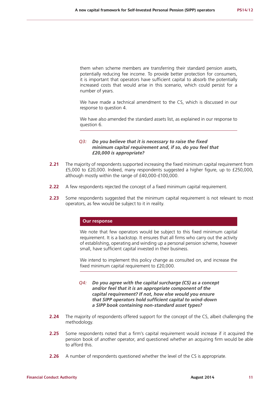them when scheme members are transferring their standard pension assets, potentially reducing fee income. To provide better protection for consumers, it is important that operators have sufficient capital to absorb the potentially increased costs that would arise in this scenario, which could persist for a number of years.

We have made a technical amendment to the CS, which is discussed in our response to question 4.

We have also amended the standard assets list, as explained in our response to question 6.

#### *Q3: Do you believe that it is necessary to raise the fixed minimum capital requirement and, if so, do you feel that £20,000 is appropriate?*

- **2.21** The majority of respondents supported increasing the fixed minimum capital requirement from £5,000 to £20,000. Indeed, many respondents suggested a higher figure, up to £250,000, although mostly within the range of £40,000-£100,000.
- **2.22** A few respondents rejected the concept of a fixed minimum capital requirement.
- **2.23** Some respondents suggested that the minimum capital requirement is not relevant to most operators, as few would be subject to it in reality.

#### **Our response**

We note that few operators would be subject to this fixed minimum capital requirement. It is a backstop. It ensures that all firms who carry out the activity of establishing, operating and winding up a personal pension scheme, however small, have sufficient capital invested in their business.

We intend to implement this policy change as consulted on, and increase the fixed minimum capital requirement to £20,000.

#### *Q4: Do you agree with the capital surcharge (CS) as a concept and/or feel that it is an appropriate component of the capital requirement? If not, how else would you ensure that SIPP operators hold sufficient capital to wind-down a SIPP book containing non-standard asset types?*

- **2.24** The majority of respondents offered support for the concept of the CS, albeit challenging the methodology.
- **2.25** Some respondents noted that a firm's capital requirement would increase if it acquired the pension book of another operator, and questioned whether an acquiring firm would be able to afford this.
- **2.26** A number of respondents questioned whether the level of the CS is appropriate.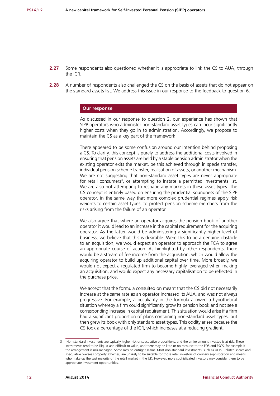- **2.27** Some respondents also questioned whether it is appropriate to link the CS to AUA, through the ICR.
- **2.28** A number of respondents also challenged the CS on the basis of assets that do not appear on the standard assets list. We address this issue in our response to the feedback to question 6.

#### **Our response**

As discussed in our response to question 2, our experience has shown that SIPP operators who administer non-standard asset types can incur significantly higher costs when they go in to administration. Accordingly, we propose to maintain the CS as a key part of the framework.

There appeared to be some confusion around our intention behind proposing a CS. To clarify, this concept is purely to address the additional costs involved in ensuring that pension assets are held by a stable pension administrator when the existing operator exits the market, be this achieved through in specie transfer, individual pension scheme transfer, realisation of assets, or another mechanism. We are not suggesting that non-standard asset types are never appropriate for retail consumers<sup>3</sup>, or attempting to instate a permitted investments list. We are also not attempting to reshape any markets in these asset types. The CS concept is entirely based on ensuring the prudential soundness of the SIPP operator, in the same way that more complex prudential regimes apply risk weights to certain asset types, to protect pension scheme members from the risks arising from the failure of an operator.

We also agree that where an operator acquires the pension book of another operator it would lead to an increase in the capital requirement for the acquiring operator. As the latter would be administering a significantly higher level of business, we believe that this is desirable. Were this to be a genuine obstacle to an acquisition, we would expect an operator to approach the FCA to agree an appropriate course of action. As highlighted by other respondents, there would be a stream of fee income from the acquisition, which would allow the acquiring operator to build up additional capital over time. More broadly, we would not expect a regulated firm to become highly leveraged when making an acquisition, and would expect any necessary capitalisation to be reflected in the purchase price.

We accept that the formula consulted on meant that the CS did not necessarily increase at the same rate as an operator increased its AUA, and was not always progressive. For example, a peculiarity in the formula allowed a hypothetical situation whereby a firm could significantly grow its pension book and not see a corresponding increase in capital requirement. This situation would arise if a firm had a significant proportion of plans containing non-standard asset types, but then grew its book with only standard asset types. This oddity arises because the CS took a percentage of the ICR, which increases at a reducing gradient.

<sup>3</sup> Non-standard investments are typically higher risk or speculative propositions, and the entire amount invested is at risk. These investments tend to be illiquid and difficult to value, and there may be little or no recourse to the FOS and FSCS, for example if the arrangement is mis-managed. Some may be outright scams. Most non-standard investments, such as UCIS, unlisted shares and speculative overseas property schemes, are unlikely to be suitable for those retail investors of ordinary sophistication and means who make up the vast majority of the retail market in the UK. However, more sophisticated investors may consider them to be appropriate investment opportunities.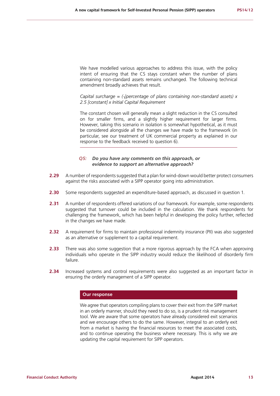We have modelled various approaches to address this issue, with the policy intent of ensuring that the CS stays constant when the number of plans containing non-standard assets remains unchanged. The following technical amendment broadly achieves that result.

*Capital surcharge = (√percentage of plans containing non-standard assets) x 2.5 [constant] x Initial Capital Requirement*

The constant chosen will generally mean a slight reduction in the CS consulted on for smaller firms, and a slightly higher requirement for larger firms. However, taking this scenario in isolation is somewhat hypothetical, as it must be considered alongside all the changes we have made to the framework (in particular, see our treatment of UK commercial property as explained in our response to the feedback received to question 6).

#### *Q5: Do you have any comments on this approach, or evidence to support an alternative approach?*

- **2.29** A number of respondents suggested that a plan for wind-down would better protect consumers against the risks associated with a SIPP operator going into administration.
- **2.30** Some respondents suggested an expenditure-based approach, as discussed in question 1.
- **2.31** A number of respondents offered variations of our framework. For example, some respondents suggested that turnover could be included in the calculation. We thank respondents for challenging the framework, which has been helpful in developing the policy further, reflected in the changes we have made.
- **2.32** A requirement for firms to maintain professional indemnity insurance (PII) was also suggested as an alternative or supplement to a capital requirement.
- **2.33** There was also some suggestion that a more rigorous approach by the FCA when approving individuals who operate in the SIPP industry would reduce the likelihood of disorderly firm failure.
- **2.34** Increased systems and control requirements were also suggested as an important factor in ensuring the orderly management of a SIPP operator.

#### **Our response**

We agree that operators compiling plans to cover their exit from the SIPP market in an orderly manner, should they need to do so, is a prudent risk management tool. We are aware that some operators have already considered exit scenarios and we encourage others to do the same. However, integral to an orderly exit from a market is having the financial resources to meet the associated costs, and to continue operating the business where necessary. This is why we are updating the capital requirement for SIPP operators.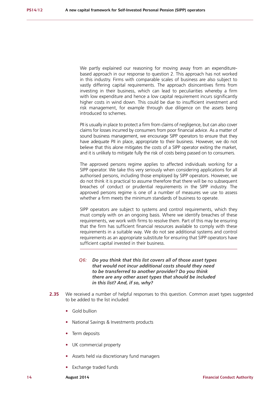We partly explained our reasoning for moving away from an expenditurebased approach in our response to question 2. This approach has not worked in this industry. Firms with comparable scales of business are also subject to vastly differing capital requirements. The approach disincentives firms from investing in their business, which can lead to peculiarities whereby a firm with low expenditure and hence a low capital requirement incurs significantly higher costs in wind down. This could be due to insufficient investment and risk management, for example through due diligence on the assets being introduced to schemes.

PII is usually in place to protect a firm from claims of negligence, but can also cover claims for losses incurred by consumers from poor financial advice. As a matter of sound business management, we encourage SIPP operators to ensure that they have adequate PII in place, appropriate to their business. However, we do not believe that this alone mitigates the costs of a SIPP operator exiting the market, and it is unlikely to mitigate fully the risk of costs being passed on to consumers.

The approved persons regime applies to affected individuals working for a SIPP operator. We take this very seriously when considering applications for all authorised persons, including those employed by SIPP operators. However, we do not think it is practical to assume therefore that there will be no subsequent breaches of conduct or prudential requirements in the SIPP industry. The approved persons regime is one of a number of measures we use to assess whether a firm meets the minimum standards of business to operate.

SIPP operators are subject to systems and control requirements, which they must comply with on an ongoing basis. Where we identify breaches of these requirements, we work with firms to resolve them. Part of this may be ensuring that the firm has sufficient financial resources available to comply with these requirements in a suitable way. We do not see additional systems and control requirements as an appropriate substitute for ensuring that SIPP operators have sufficient capital invested in their business.

#### *Q6: Do you think that this list covers all of those asset types that would not incur additional costs should they need to be transferred to another provider? Do you think there are any other asset types that should be included in this list? And, if so, why?*

- **2.35** We received a number of helpful responses to this question. Common asset types suggested to be added to the list included:
	- **•** Gold bullion
	- **•** National Savings & Investments products
	- **•** Term deposits
	- **•** UK commercial property
	- **•** Assets held via discretionary fund managers
	- **•** Exchange traded funds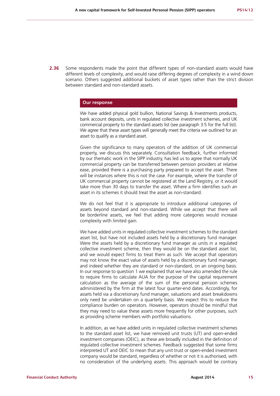**2.36** Some respondents made the point that different types of non-standard assets would have different levels of complexity, and would raise differing degrees of complexity in a wind down scenario. Others suggested additional buckets of asset types rather than the strict division between standard and non-standard assets.

#### **Our response**

We have added physical gold bullion, National Savings & Investments products, bank account deposits, units in regulated collective investment schemes, and UK commercial property to the standard assets list (see paragraph 3.5 for the full list). We agree that these asset types will generally meet the criteria we outlined for an asset to qualify as a standard asset.

Given the significance to many operators of the addition of UK commercial property, we discuss this separately. Consultation feedback, further informed by our thematic work in the SIPP industry, has led us to agree that normally UK commercial property can be transferred between pension providers at relative ease, provided there is a purchasing party prepared to accept the asset. There will be instances where this is not the case. For example, where the transfer of UK commercial property cannot be registered at the Land Registry, or it would take more than 30 days to transfer the asset. Where a firm identifies such an asset in its schemes it should treat the asset as non-standard.

We do not feel that it is appropriate to introduce additional categories of assets beyond standard and non-standard. While we accept that there will be borderline assets, we feel that adding more categories would increase complexity with limited gain.

We have added units in regulated collective investment schemes to the standard asset list, but have not included assets held by a discretionary fund manager. Were the assets held by a discretionary fund manager as units in a regulated collective investment scheme, then they would be on the standard asset list, and we would expect firms to treat them as such. We accept that operators may not know the exact value of assets held by a discretionary fund manager, and indeed whether they are standard or non-standard, on an ongoing basis. In our response to question 1 we explained that we have also amended the rule to require firms to calculate AUA for the purpose of the capital requirement calculation as the average of the sum of the personal pension schemes administered by the firm at the latest four quarter-end dates. Accordingly, for assets held via a discretionary fund manager, valuations and asset breakdowns only need be undertaken on a quarterly basis. We expect this to reduce the compliance burden on operators. However, operators should be mindful that they may need to value these assets more frequently for other purposes, such as providing scheme members with portfolio valuations.

In addition, as we have added units in regulated collective investment schemes to the standard asset list, we have removed unit trusts (UT) and open-ended investment companies (OEIC), as these are broadly included in the definition of regulated collective investment schemes. Feedback suggested that some firms interpreted UT and OEIC to mean that any unit trust or open-ended investment company would be standard, regardless of whether or not it is authorised, with no consideration of the underlying assets. This approach would be contrary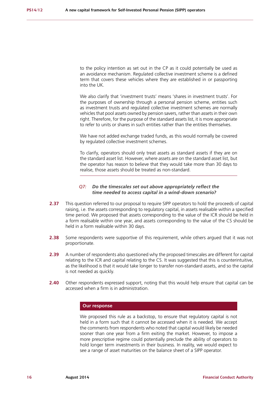to the policy intention as set out in the CP as it could potentially be used as an avoidance mechanism. Regulated collective investment scheme is a defined term that covers these vehicles where they are established in or passporting into the UK.

We also clarify that 'investment trusts' means 'shares in investment trusts'. For the purposes of ownership through a personal pension scheme, entities such as investment trusts and regulated collective investment schemes are normally vehicles that pool assets owned by pension savers, rather than assets in their own right. Therefore, for the purpose of the standard assets list, it is more appropriate to refer to units or shares in such entities rather than the entities themselves.

We have not added exchange traded funds, as this would normally be covered by regulated collective investment schemes.

To clarify, operators should only treat assets as standard assets if they are on the standard asset list. However, where assets are on the standard asset list, but the operator has reason to believe that they would take more than 30 days to realise, those assets should be treated as non-standard.

#### *Q7: Do the timescales set out above appropriately reflect the time needed to access capital in a wind-down scenario?*

- **2.37** This question referred to our proposal to require SIPP operators to hold the proceeds of capital raising, i.e. the assets corresponding to regulatory capital, in assets realisable within a specified time period. We proposed that assets corresponding to the value of the ICR should be held in a form realisable within one year, and assets corresponding to the value of the CS should be held in a form realisable within 30 days.
- **2.38** Some respondents were supportive of this requirement, while others argued that it was not proportionate.
- **2.39** A number of respondents also questioned why the proposed timescales are different for capital relating to the ICR and capital relating to the CS. It was suggested that this is counterintuitive, as the likelihood is that it would take longer to transfer non-standard assets, and so the capital is not needed as quickly.
- **2.40** Other respondents expressed support, noting that this would help ensure that capital can be accessed when a firm is in administration.

#### **Our response**

We proposed this rule as a backstop, to ensure that regulatory capital is not held in a form such that it cannot be accessed when it is needed. We accept the comments from respondents who noted that capital would likely be needed sooner than one year from a firm exiting the market. However, to impose a more prescriptive regime could potentially preclude the ability of operators to hold longer term investments in their business. In reality, we would expect to see a range of asset maturities on the balance sheet of a SIPP operator.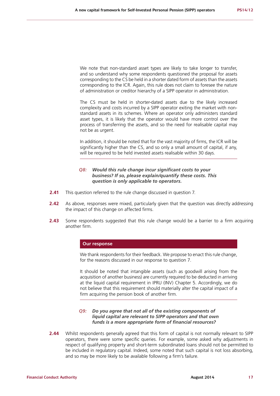We note that non-standard asset types are likely to take longer to transfer, and so understand why some respondents questioned the proposal for assets corresponding to the CS be held in a shorter dated form of assets than the assets corresponding to the ICR. Again, this rule does not claim to foresee the nature of administration or creditor hierarchy of a SIPP operator in administration.

The CS must be held in shorter-dated assets due to the likely increased complexity and costs incurred by a SIPP operator exiting the market with nonstandard assets in its schemes. Where an operator only administers standard asset types, it is likely that the operator would have more control over the process of transferring the assets, and so the need for realisable capital may not be as urgent.

In addition, it should be noted that for the vast majority of firms, the ICR will be significantly higher than the CS, and so only a small amount of capital, if any, will be required to be held invested assets realisable within 30 days.

#### *Q8: Would this rule change incur significant costs to your business? If so, please explain/quantify these costs. This question is only applicable to operators.*

- **2.41** This question referred to the rule change discussed in question 7.
- **2.42** As above, responses were mixed, particularly given that the question was directly addressing the impact of this change on affected firms.
- **2.43** Some respondents suggested that this rule change would be a barrier to a firm acquiring another firm.

#### **Our response**

We thank respondents for their feedback. We propose to enact this rule change, for the reasons discussed in our response to question 7.

It should be noted that intangible assets (such as goodwill arising from the acquisition of another business) are currently required to be deducted in arriving at the liquid capital requirement in IPRU (INV) Chapter 5. Accordingly, we do not believe that this requirement should materially alter the capital impact of a firm acquiring the pension book of another firm.

#### *Q9: Do you agree that not all of the existing components of liquid capital are relevant to SIPP operators and that own funds is a more appropriate form of financial resources?*

**2.44** Whilst respondents generally agreed that this form of capital is not normally relevant to SIPP operators, there were some specific queries. For example, some asked why adjustments in respect of qualifying property and short-term subordinated loans should not be permitted to be included in regulatory capital. Indeed, some noted that such capital is not loss absorbing, and so may be more likely to be available following a firm's failure.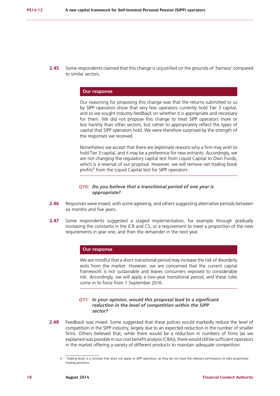**2.45** Some respondents claimed that this change is unjustified on the grounds of 'fairness' compared to similar sectors.

#### **Our response**

Our reasoning for proposing this change was that the returns submitted to us by SIPP operators show that very few operators currently hold Tier 3 capital, and so we sought industry feedback on whether it is appropriate and necessary for them. We did not propose this change to treat SIPP operators more or less harshly than other sectors, but rather to appropriately reflect the types of capital that SIPP operators hold. We were therefore surprised by the strength of the responses we received.

Nonetheless we accept that there are legitimate reasons why a firm may wish to hold Tier 3 capital, and it may be a preference for new entrants. Accordingly, we are not changing the regulatory capital test from Liquid Capital to Own Funds, which is a reversal of our proposal. However, we will remove net trading book profits<sup>4</sup> from the Liquid Capital test for SIPP operators.

#### *Q10: Do you believe that a transitional period of one year is appropriate?*

- **2.46** Responses were mixed, with some agreeing, and others suggesting alternative periods between six months and five years.
- **2.47** Some respondents suggested a staged implementation, for example through gradually increasing the constants in the ICR and CS, or a requirement to meet a proportion of the new requirements in year one, and then the remainder in the next year.

#### **Our response**

We are mindful that a short transitional period may increase the risk of disorderly exits from the market. However, we are concerned that the current capital framework is not sustainable and leaves consumers exposed to considerable risk. Accordingly, we will apply a two-year transitional period, and these rules come in to force from 1 September 2016.

#### *Q11: In your opinion, would this proposal lead to a significant reduction in the level of competition within the SIPP sector?*

**2.48** Feedback was mixed. Some suggested that these polices would markedly reduce the level of competition in the SIPP industry, largely due to an expected reduction in the number of smaller firms. Others believed that, while there would be a reduction in numbers of firms (as we explained was possible in our cost benefit analysis (CBA)), there would still be sufficient operators in the market offering a variety of different products to maintain adequate competition.

Trading book is a concept that does not apply to SIPP operators, as they do not have the relevant permissions to take proprietary trading positions.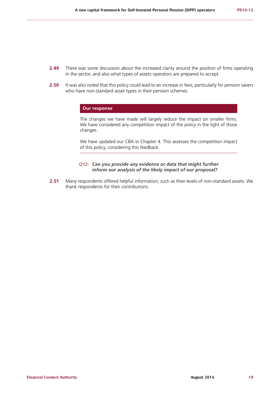- **2.49** There was some discussion about the increased clarity around the position of firms operating in the sector, and also what types of assets operators are prepared to accept.
- **2.50** It was also noted that this policy could lead to an increase in fees, particularly for pension savers who have non-standard asset types in their pension schemes.

#### **Our response**

The changes we have made will largely reduce the impact on smaller firms. We have considered any competition impact of the policy in the light of those changes.

We have updated our CBA in Chapter 4. This assesses the competition impact of this policy, considering this feedback.

#### *Q12: Can you provide any evidence or data that might further inform our analysis of the likely impact of our proposal?*

**2.51** Many respondents offered helpful information, such as their levels of non-standard assets. We thank respondents for their contributions.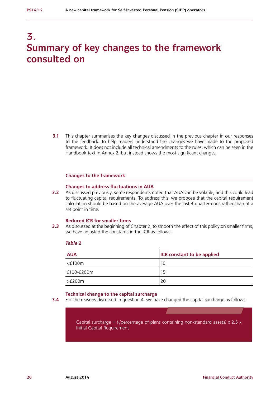# **3. Summary of key changes to the framework consulted on**

**3.1** This chapter summarises the key changes discussed in the previous chapter in our responses to the feedback, to help readers understand the changes we have made to the proposed framework. It does not include all technical amendments to the rules, which can be seen in the Handbook text in Annex 2, but instead shows the most significant changes.

#### **Changes to the framework**

#### **Changes to address fluctuations in AUA**

**3.2** As discussed previously, some respondents noted that AUA can be volatile, and this could lead to fluctuating capital requirements. To address this, we propose that the capital requirement calculation should be based on the average AUA over the last 4 quarter-ends rather than at a set point in time.

#### **Reduced ICR for smaller firms**

**3.3** As discussed at the beginning of Chapter 2, to smooth the effect of this policy on smaller firms, we have adjusted the constants in the ICR as follows:

#### *Table 2*

| <b>AUA</b>   | <b>ICR</b> constant to be applied |
|--------------|-----------------------------------|
| $<$ £100 $m$ | 10                                |
| £100-£200m   | 15                                |
| >£200m       | 20                                |

#### **Technical change to the capital surcharge**

**3.4** For the reasons discussed in question 4, we have changed the capital surcharge as follows:

Capital surcharge =  $(\sqrt{\text{percentage of plans containing non-standard assets}}) \times 2.5 \times$ Initial Capital Requirement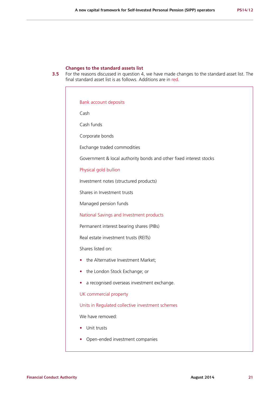#### **Changes to the standard assets list**

**3.5** For the reasons discussed in question 4, we have made changes to the standard asset list. The final standard asset list is as follows. Additions are in red.

Bank account deposits Cash Cash funds Corporate bonds Exchange traded commodities Government & local authority bonds and other fixed interest stocks Physical gold bullion Investment notes (structured products) Shares in Investment trusts Managed pension funds National Savings and Investment products Permanent interest bearing shares (PIBs) Real estate investment trusts (REITs) Shares listed on: **•** the Alternative Investment Market; **•** the London Stock Exchange; or **•** a recognised overseas investment exchange. UK commercial property Units in Regulated collective investment schemes We have removed: **•** Unit trusts **•** Open-ended investment companies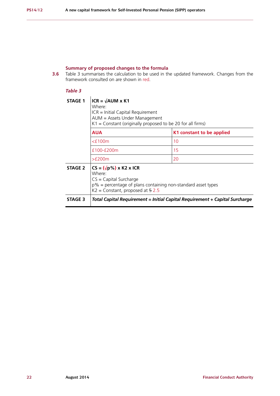# **Summary of proposed changes to the formula**

**3.6** Table 3 summarises the calculation to be used in the updated framework. Changes from the framework consulted on are shown in red.

# *Table 3*

| <b>STAGE 1</b> | $ICR = \sqrt{AUM} \times K1$<br>Where:<br>$ICR = Initial Capital Required$ Requirement<br>AUM = Assets Under Management<br>$K1 =$ Constant (originally proposed to be 20 for all firms) |                                                                             |  |  |
|----------------|-----------------------------------------------------------------------------------------------------------------------------------------------------------------------------------------|-----------------------------------------------------------------------------|--|--|
|                | <b>AUA</b>                                                                                                                                                                              | K1 constant to be applied                                                   |  |  |
|                | $<$ £100 $m$                                                                                                                                                                            | 10                                                                          |  |  |
|                | £100-£200m                                                                                                                                                                              | 15                                                                          |  |  |
|                | $>$ £200 $m$                                                                                                                                                                            | 20                                                                          |  |  |
| <b>STAGE 2</b> | $CS = (\sqrt{p\%}) \times K2 \times ICR$<br>Where:<br>$CS = Capital Surface$<br>$p\%$ = percentage of plans containing non-standard asset types<br>$K2 =$ Constant, proposed at $52.5$  |                                                                             |  |  |
| <b>STAGE 3</b> |                                                                                                                                                                                         | Total Capital Requirement = Initial Capital Requirement + Capital Surcharge |  |  |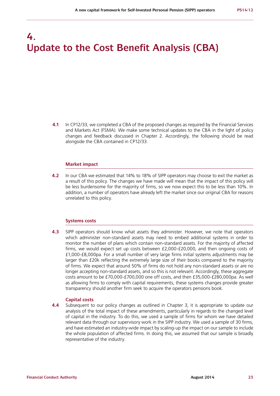# **4. Update to the Cost Benefit Analysis (CBA)**

**4.1** In CP12/33, we completed a CBA of the proposed changes as required by the Financial Services and Markets Act (FSMA). We make some technical updates to the CBA in the light of policy changes and feedback discussed in Chapter 2. Accordingly, the following should be read alongside the CBA contained in CP12/33.

#### **Market impact**

**4.2** In our CBA we estimated that 14% to 18% of SIPP operators may choose to exit the market as a result of this policy. The changes we have made will mean that the impact of this policy will be less burdensome for the majority of firms, so we now expect this to be less than 10%. In addition, a number of operators have already left the market since our original CBA for reasons unrelated to this policy.

#### **Systems costs**

**4.3** SIPP operators should know what assets they administer. However, we note that operators which administer non-standard assets may need to embed additional systems in order to monitor the number of plans which contain non-standard assets. For the majority of affected firms, we would expect set up costs between £2,000-£20,000, and then ongoing costs of £1,000-£8,000pa. For a small number of very large firms initial systems adjustments may be larger than £20k reflecting the extremely large size of their books compared to the majority of firms. We expect that around 50% of firms do not hold any non-standard assets or are no longer accepting non-standard assets, and so this is not relevant. Accordingly, these aggregate costs amount to be £70,000-£700,000 one off costs, and then £35,000-£280,000pa. As well as allowing firms to comply with capital requirements, these systems changes provide greater transparency should another firm seek to acquire the operators pensions book.

#### **Capital costs**

**4.4** Subsequent to our policy changes as outlined in Chapter 3, it is appropriate to update our analysis of the total impact of these amendments, particularly in regards to the changed level of capital in the industry. To do this, we used a sample of firms for whom we have detailed relevant data through our supervisory work in the SIPP industry. We used a sample of 30 firms, and have estimated an industry-wide impact by scaling-up the impact on our sample to include the whole population of affected firms. In doing this, we assumed that our sample is broadly representative of the industry.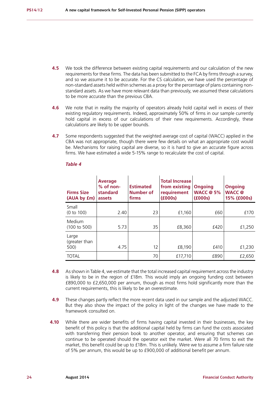- **4.5** We took the difference between existing capital requirements and our calculation of the new requirements for these firms. The data has been submitted to the FCA by firms through a survey, and so we assume it to be accurate. For the CS calculation, we have used the percentage of non-standard assets held within schemes as a proxy for the percentage of plans containing nonstandard assets. As we have more relevant data than previously, we assumed these calculations to be more accurate than the previous CBA.
- **4.6** We note that in reality the majority of operators already hold capital well in excess of their existing regulatory requirements. Indeed, approximately 50% of firms in our sample currently hold capital in excess of our calculations of their new requirements. Accordingly, these calculations are likely to be upper bounds.
- **4.7** Some respondents suggested that the weighted average cost of capital (WACC) applied in the CBA was not appropriate, though there were few details on what an appropriate cost would be. Mechanisms for raising capital are diverse, so it is hard to give an accurate figure across firms. We have estimated a wide 5-15% range to recalculate the cost of capital.

| <b>Firms Size</b><br>(AUA by fm) | <b>Average</b><br>$%$ of non-<br>standard<br>assets | <b>Estimated</b><br><b>Number of</b><br>firms | <b>Total Increase</b><br>from existing<br>requirement<br>(£000s) | <b>Ongoing</b><br>WACC $@5\%$<br>(6000s) | <b>Ongoing</b><br><b>WACC</b> <sup>@</sup><br>15% (£000s) |
|----------------------------------|-----------------------------------------------------|-----------------------------------------------|------------------------------------------------------------------|------------------------------------------|-----------------------------------------------------------|
| Small<br>(0 to 100)              | 2.40                                                | 23                                            | £1,160                                                           | £60                                      | £170                                                      |
| Medium<br>(100 to 500)           | 5.73                                                | 35                                            | £8,360                                                           | £420                                     | £1,250                                                    |
| Large<br>(greater than<br>500)   | 4.75                                                | 12                                            | £8,190                                                           | £410                                     | £1,230                                                    |
| <b>TOTAL</b>                     |                                                     | 70                                            | £17,710                                                          | £890                                     | £2,650                                                    |

#### *Table 4*

- **4.8** As shown in Table 4, we estimate that the total increased capital requirement across the industry is likely to be in the region of £18m. This would imply an ongoing funding cost between £890,000 to £2,650,000 per annum, though as most firms hold significantly more than the current requirements, this is likely to be an overestimate.
- **4.9** These changes partly reflect the more recent data used in our sample and the adjusted WACC. But they also show the impact of the policy in light of the changes we have made to the framework consulted on.
- **4.10** While there are wider benefits of firms having capital invested in their businesses, the key benefit of this policy is that the additional capital held by firms can fund the costs associated with transferring their pension book to another operator, and ensuring that schemes can continue to be operated should the operator exit the market. Were all 70 firms to exit the market, this benefit could be up to £18m. This is unlikely. Were we to assume a firm failure rate of 5% per annum, this would be up to £900,000 of additional benefit per annum.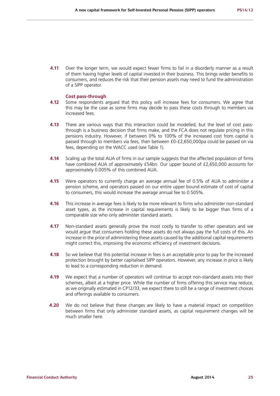**4.11** Over the longer term, we would expect fewer firms to fail in a disorderly manner as a result of them having higher levels of capital invested in their business. This brings wider benefits to consumers, and reduces the risk that their pension assets may need to fund the administration of a SIPP operator.

#### **Cost pass-through**

- **4.12** Some respondents argued that this policy will increase fees for consumers. We agree that this may be the case as some firms may decide to pass these costs through to members via increased fees.
- **4.13** There are various ways that this interaction could be modelled, but the level of cost passthrough is a business decision that firms make, and the FCA does not regulate pricing in this pensions industry. However, if between 0% to 100% of the increased cost from capital is passed through to members via fees, then between £0-£2,650,000pa could be passed on via fees, depending on the WACC used (see Table 1).
- **4.14** Scaling up the total AUA of firms in our sample suggests that the affected population of firms have combined AUA of approximately £54bn. Our upper bound of £2,650,000 accounts for approximately 0.005% of this combined AUA.
- **4.15** Were operators to currently charge an average annual fee of 0.5% of AUA to administer a pension scheme, and operators passed on our entire upper bound estimate of cost of capital to consumers, this would increase the average annual fee to 0.505%.
- **4.16** This increase in average fees is likely to be more relevant to firms who administer non-standard asset types, as the increase in capital requirements is likely to be bigger than firms of a comparable size who only administer standard assets.
- **4.17** Non-standard assets generally prove the most costly to transfer to other operators and we would argue that consumers holding these assets do not always pay the full costs of this. An increase in the price of administering these assets caused by the additional capital requirements might correct this, improving the economic efficiency of investment decisions.
- **4.18** So we believe that this potential increase in fees is an acceptable price to pay for the increased protection brought by better capitalised SIPP operators. However, any increase in price is likely to lead to a corresponding reduction in demand.
- **4.19** We expect that a number of operators will continue to accept non-standard assets into their schemes, albeit at a higher price. While the number of firms offering this service may reduce, as we originally estimated in CP12/33, we expect there to still be a range of investment choices and offerings available to consumers.
- **4.20** We do not believe that these changes are likely to have a material impact on competition between firms that only administer standard assets, as capital requirement changes will be much smaller here.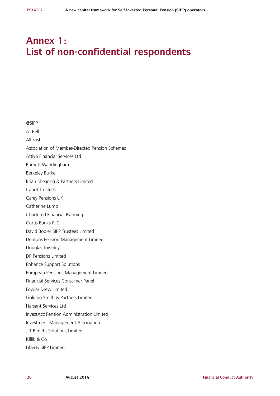# **Annex 1: List of non-confidential respondents**

@SIPP AJ Bell Alltrust Association of Member-Directed Pension Schemes Attivo Financial Services Ltd Barnett Waddingham Berkeley Burke Brian Shearing & Partners Limited Cabot Trustees Carey Pensions UK Catherine Lumb Chartered Financial Planning Curtis Banks PLC David Booler SIPP Trustees Limited Dentons Pension Management Limited Douglas Townley DP Pensions Limited Enhance Support Solutions European Pensions Management Limited Financial Services Consumer Panel Fowler Drew Limited Golding Smith & Partners Limited Harsant Services Ltd InvestAcc Pension Administration Limited Investment Management Association JLT Benefit Solutions Limited Killik & Co Liberty SIPP Limited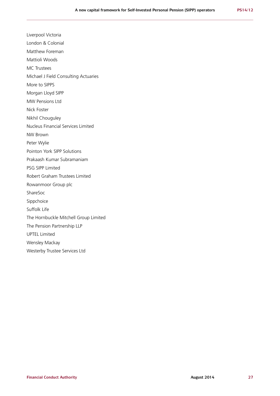Liverpool Victoria London & Colonial Matthew Foreman Mattioli Woods MC Trustees Michael J Field Consulting Actuaries More to SIPPS Morgan Lloyd SIPP MW Pensions Ltd Nick Foster Nikhil Chouguley Nucleus Financial Services Limited NW Brown Peter Wylie Pointon York SIPP Solutions Prakaash Kumar Subramaniam PSG SIPP Limited Robert Graham Trustees Limited Rowanmoor Group plc ShareSoc Sippchoice Suffolk Life The Hornbuckle Mitchell Group Limited The Pension Partnership LLP UPTEL Limited Wensley Mackay Westerby Trustee Services Ltd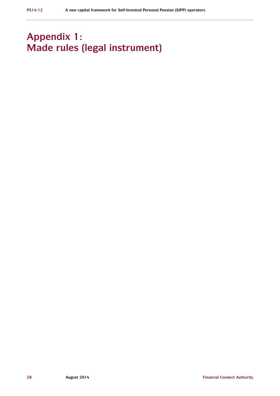# **Appendix 1: Made rules (legal instrument)**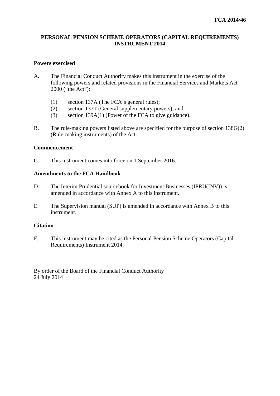# **PERSONAL PENSION SCHEME OPERATORS (CAPITAL REQUIREMENTS) INSTRUMENT 2014**

# **Powers exercised**

- A. The Financial Conduct Authority makes this instrument in the exercise of the following powers and related provisions in the Financial Services and Markets Act 2000 ("the Act"):
	- (1) section 137A (The FCA's general rules);
	- (2) section 137T (General supplementary powers); and
	- (3) section 139A(1) (Power of the FCA to give guidance).
- B. The rule-making powers listed above are specified for the purpose of section 138G(2) (Rule-making instruments) of the Act.

# **Commencement**

C. This instrument comes into force on 1 September 2016.

# **Amendments to the FCA Handbook**

- D. The Interim Prudential sourcebook for Investment Businesses (IPRU(INV)) is amended in accordance with Annex A to this instrument.
- E. The Supervision manual (SUP) is amended in accordance with Annex B to this instrument.

### **Citation**

F. This instrument may be cited as the Personal Pension Scheme Operators (Capital Requirements) Instrument 2014.

By order of the Board of the Financial Conduct Authority 24 July 2014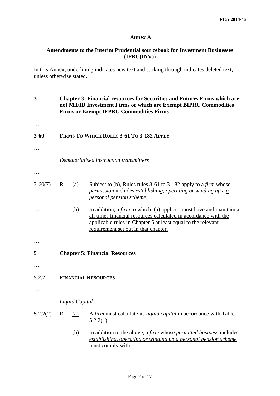### **Annex A**

# **Amendments to the Interim Prudential sourcebook for Investment Businesses (IPRU(INV))**

In this Annex, underlining indicates new text and striking through indicates deleted text, unless otherwise stated.

- **3 Chapter 3: Financial resources for Securities and Futures Firms which are not MiFID Investment Firms or which are Exempt BIPRU Commodities Firms or Exempt IFPRU Commodities Firms**
- **3-60 FIRMS TO WHICH RULES 3-61 TO 3-182 APPLY**
- …

…

- *Dematerialised instruction transmitters*
- …
- 3-60(7) R (a) Subject to (b), Rules rules 3-61 to 3-182 apply to a *firm* whose *permission* includes *establishing, operating or winding up* a *a personal pension scheme*.
- … (b) In addition, a *firm* to which (a) applies, must have and maintain at all times financial resources calculated in accordance with the applicable rules in Chapter 5 at least equal to the relevant requirement set out in that chapter.
- …
- **5 Chapter 5: Financial Resources**
- …
- **5.2.2 FINANCIAL RESOURCES**
- …

### *Liquid Capital*

- 5.2.2(2) R (a) A *firm* must calculate its *liquid capital* in accordance with Table 5.2.2(1).
	- (b) In addition to the above, a *firm* whose *permitted business* includes *establishing, operating or winding up a personal pension scheme* must comply with: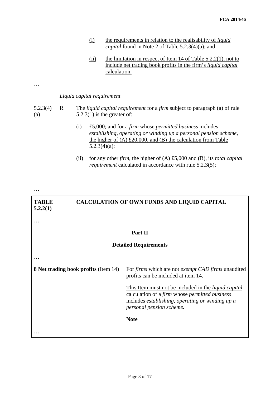- (i) the requirements in relation to the realisability of *liquid capital* found in Note 2 of Table 5.2.3(4)(a); and
- (ii) the limitation in respect of Item 14 of Table  $5.2.2(1)$ , not to include net trading book profits in the firm's *liquid capital* calculation.

…

### *Liquid capital requirement*

#### 5.2.3(4) (a) R The *liquid capital requirement* for a *firm* subject to paragraph (a) of rule  $5.2.3(1)$  is the greater of:

- (i) £5,000; and for a *firm* whose *permitted business* includes *establishing, operating or winding up a personal pension scheme*, the higher of  $(A)$  £20,000, and  $(B)$  the calculation from Table 5.2.3(4)(a);
- (ii) for any other *firm*, the higher of (A) £5,000 and (B), its *total capital requirement* calculated in accordance with rule 5.2.3(5);

…

…

#### **TABLE 5.2.2(1) CALCULATION OF OWN FUNDS AND LIQUID CAPITAL**

# **Part II**

# **Detailed Requirements**

…

…

**8 Net trading book profits** (Item 14) For *firms* which are not *exempt CAD firms* unaudited

This Item must not be included in the *liquid capital*  calculation of a *firm* whose *permitted business* includes *establishing, operating or winding up a personal pension scheme.*

profits can be included at item 14.

**Note**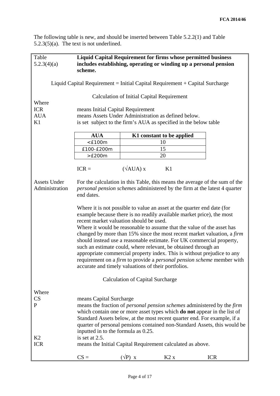The following table is new, and should be inserted between Table 5.2.2(1) and Table 5.2.3(5)(a). The text is not underlined.

| Table<br>5.2.3(4)(a)           | scheme.                                                                                        |                                                   | <b>Liquid Capital Requirement for firms whose permitted business</b><br>includes establishing, operating or winding up a personal pension                                                                                                                                                                                                                                                                                                                                                                                                                                                             |            |
|--------------------------------|------------------------------------------------------------------------------------------------|---------------------------------------------------|-------------------------------------------------------------------------------------------------------------------------------------------------------------------------------------------------------------------------------------------------------------------------------------------------------------------------------------------------------------------------------------------------------------------------------------------------------------------------------------------------------------------------------------------------------------------------------------------------------|------------|
|                                |                                                                                                |                                                   | Liquid Capital Requirement = Initial Capital Requirement $+$ Capital Surcharge                                                                                                                                                                                                                                                                                                                                                                                                                                                                                                                        |            |
| Where                          |                                                                                                | <b>Calculation of Initial Capital Requirement</b> |                                                                                                                                                                                                                                                                                                                                                                                                                                                                                                                                                                                                       |            |
| <b>ICR</b>                     | means Initial Capital Requirement                                                              |                                                   |                                                                                                                                                                                                                                                                                                                                                                                                                                                                                                                                                                                                       |            |
| <b>AUA</b>                     |                                                                                                |                                                   | means Assets Under Administration as defined below.                                                                                                                                                                                                                                                                                                                                                                                                                                                                                                                                                   |            |
| K1                             |                                                                                                |                                                   | is set subject to the firm's AUA as specified in the below table                                                                                                                                                                                                                                                                                                                                                                                                                                                                                                                                      |            |
|                                | <b>AUA</b>                                                                                     |                                                   | K1 constant to be applied                                                                                                                                                                                                                                                                                                                                                                                                                                                                                                                                                                             |            |
|                                | $<$ £100m                                                                                      |                                                   | 10                                                                                                                                                                                                                                                                                                                                                                                                                                                                                                                                                                                                    |            |
|                                | £100-£200m                                                                                     |                                                   | 15                                                                                                                                                                                                                                                                                                                                                                                                                                                                                                                                                                                                    |            |
|                                | >E200m                                                                                         |                                                   | 20                                                                                                                                                                                                                                                                                                                                                                                                                                                                                                                                                                                                    |            |
|                                | $ICR =$                                                                                        | $(\sqrt{AUA}) x$                                  | K1                                                                                                                                                                                                                                                                                                                                                                                                                                                                                                                                                                                                    |            |
| Assets Under<br>Administration | end dates.                                                                                     |                                                   | For the calculation in this Table, this means the average of the sum of the<br>personal pension schemes administered by the firm at the latest 4 quarter                                                                                                                                                                                                                                                                                                                                                                                                                                              |            |
|                                | recent market valuation should be used.<br>accurate and timely valuations of their portfolios. |                                                   | Where it is not possible to value an asset at the quarter end date (for<br>example because there is no readily available market price), the most<br>Where it would be reasonable to assume that the value of the asset has<br>changed by more than 15% since the most recent market valuation, a firm<br>should instead use a reasonable estimate. For UK commercial property,<br>such an estimate could, where relevant, be obtained through an<br>appropriate commercial property index. This is without prejudice to any<br>requirement on a firm to provide a personal pension scheme member with |            |
|                                |                                                                                                | <b>Calculation of Capital Surcharge</b>           |                                                                                                                                                                                                                                                                                                                                                                                                                                                                                                                                                                                                       |            |
| Where<br>CS<br>P               | means Capital Surcharge<br>inputted in to the formula as 0.25.                                 |                                                   | means the fraction of <i>personal pension schemes</i> administered by the <i>firm</i><br>which contain one or more asset types which do not appear in the list of<br>Standard Assets below, at the most recent quarter end. For example, if a<br>quarter of personal pensions contained non-Standard Assets, this would be                                                                                                                                                                                                                                                                            |            |
| K2<br><b>ICR</b>               | is set at 2.5.                                                                                 |                                                   | means the Initial Capital Requirement calculated as above.                                                                                                                                                                                                                                                                                                                                                                                                                                                                                                                                            |            |
|                                | $CS =$                                                                                         | $(\sqrt{P})$ X                                    | K2x                                                                                                                                                                                                                                                                                                                                                                                                                                                                                                                                                                                                   | <b>ICR</b> |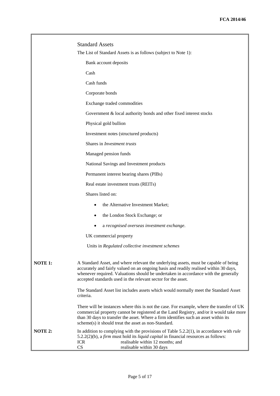|         | <b>Standard Assets</b>                                                                                                                                                                                                                                                                                                                |
|---------|---------------------------------------------------------------------------------------------------------------------------------------------------------------------------------------------------------------------------------------------------------------------------------------------------------------------------------------|
|         | The List of Standard Assets is as follows (subject to Note 1):                                                                                                                                                                                                                                                                        |
|         | Bank account deposits                                                                                                                                                                                                                                                                                                                 |
|         | Cash                                                                                                                                                                                                                                                                                                                                  |
|         | Cash funds                                                                                                                                                                                                                                                                                                                            |
|         | Corporate bonds                                                                                                                                                                                                                                                                                                                       |
|         | Exchange traded commodities                                                                                                                                                                                                                                                                                                           |
|         | Government & local authority bonds and other fixed interest stocks                                                                                                                                                                                                                                                                    |
|         | Physical gold bullion                                                                                                                                                                                                                                                                                                                 |
|         | Investment notes (structured products)                                                                                                                                                                                                                                                                                                |
|         | Shares in Investment trusts                                                                                                                                                                                                                                                                                                           |
|         | Managed pension funds                                                                                                                                                                                                                                                                                                                 |
|         | National Savings and Investment products                                                                                                                                                                                                                                                                                              |
|         | Permanent interest bearing shares (PIBs)                                                                                                                                                                                                                                                                                              |
|         | Real estate investment trusts (REITs)                                                                                                                                                                                                                                                                                                 |
|         | Shares listed on:                                                                                                                                                                                                                                                                                                                     |
|         | the Alternative Investment Market;<br>٠                                                                                                                                                                                                                                                                                               |
|         | the London Stock Exchange; or<br>٠                                                                                                                                                                                                                                                                                                    |
|         | a recognised overseas investment exchange.                                                                                                                                                                                                                                                                                            |
|         | UK commercial property                                                                                                                                                                                                                                                                                                                |
|         | Units in Regulated collective investment schemes                                                                                                                                                                                                                                                                                      |
| NOTE 1: | A Standard Asset, and where relevant the underlying assets, must be capable of being<br>accurately and fairly valued on an ongoing basis and readily realised within 30 days,<br>whenever required. Valuations should be undertaken in accordance with the generally<br>accepted standards used in the relevant sector for the asset. |
|         | The Standard Asset list includes assets which would normally meet the Standard Asset<br>criteria.                                                                                                                                                                                                                                     |
|         | There will be instances where this is not the case. For example, where the transfer of UK<br>commercial property cannot be registered at the Land Registry, and/or it would take more<br>than 30 days to transfer the asset. Where a firm identifies such an asset within its<br>scheme(s) it should treat the asset as non-Standard. |
| NOTE 2: | In addition to complying with the provisions of Table $5.2.2(1)$ , in accordance with <i>rule</i><br>5.2.2(2)(b), a <i>firm</i> must hold its <i>liquid capital</i> in financial resources as follows:<br>realisable within 12 months; and<br><b>ICR</b><br>CS<br>realisable within 30 days                                           |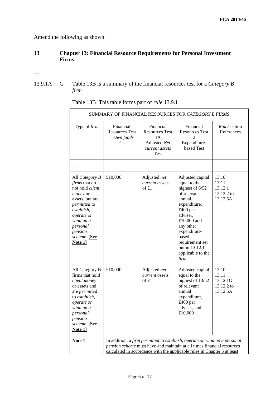Amend the following as shown.

# **13 Chapter 13: Financial Resource Requirements for Personal Investment Firms**

…

13.9.1A G Table 13B is a summary of the financial resources test for a *Category B firm.*

| SUMMARY OF FINANCIAL RESOURCES FOR <i>CATEGORY B FIRMS</i>                                                                                                                                       |                                                                                                                                                                                                                                 |                                                                                           |                                                                                                                                                                                                                                              |                                                      |
|--------------------------------------------------------------------------------------------------------------------------------------------------------------------------------------------------|---------------------------------------------------------------------------------------------------------------------------------------------------------------------------------------------------------------------------------|-------------------------------------------------------------------------------------------|----------------------------------------------------------------------------------------------------------------------------------------------------------------------------------------------------------------------------------------------|------------------------------------------------------|
| Type of firm                                                                                                                                                                                     | Financial<br><b>Resources Test</b><br>1 Own funds<br>Test                                                                                                                                                                       | Financial<br><b>Resources Test</b><br>1A<br>Adjusted Net<br>current assets<br><b>Test</b> | Financial<br><b>Resources Test</b><br>$\mathfrak{D}$<br>Expenditure-<br>based Test                                                                                                                                                           | Rule/section<br>References                           |
| $\cdots$                                                                                                                                                                                         |                                                                                                                                                                                                                                 |                                                                                           |                                                                                                                                                                                                                                              |                                                      |
| All Category B<br>firms that do<br>not hold client<br>money or<br>assets, but are<br>permitted to<br>establish,<br>operate or<br>wind up a<br>personal<br>pension<br>scheme. [See<br>Note $1$ ]  | £10,000                                                                                                                                                                                                                         | Adjusted net<br>current assets<br>of £1                                                   | Adjusted capital<br>equal to the<br>highest of 6/52<br>of relevant<br>annual<br>expenditure,<br>£400 per<br>adviser,<br>£10,000 and<br>any other<br>expenditure-<br>based<br>requirement set<br>out in 13.12.1<br>applicable to the<br>firm. | 13.10<br>13.11<br>13.12.1<br>13.12.2 to<br>13.12.5A  |
| All Category B<br>firms that hold<br>client money<br>or assets and<br>are permitted<br>to <i>establish</i> ,<br>operate or<br>wind up a<br>personal<br>pension<br>scheme. [See<br><b>Note 11</b> | £10,000                                                                                                                                                                                                                         | Adjusted net<br>current assets<br>of $£1$                                                 | Adjusted capital<br>equal to the<br>highest of 13/52<br>of relevant<br>annual<br>expenditure,<br>£400 per<br>adviser, and<br>£10,000                                                                                                         | 13.10<br>13.11<br>13.12.1G<br>13.12.2 to<br>13.12.5A |
| <b>Note 1</b>                                                                                                                                                                                    | In addition, a firm permitted to establish, operate or wind up a personal<br>pension scheme must have and maintain at all times financial resources<br>calculated in accordance with the applicable rules in Chapter 5 at least |                                                                                           |                                                                                                                                                                                                                                              |                                                      |

Table 13B This table forms part of *rule* 13.9.1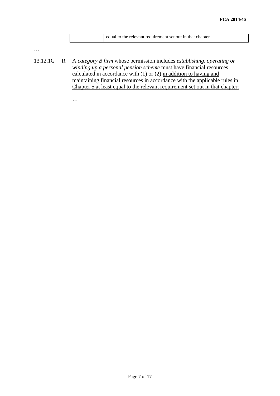| equal to the relevant requirement set out in that chapter. |  |
|------------------------------------------------------------|--|
|                                                            |  |

…

13.12.1G R A *category B firm* whose permission includes *establishing, operating or winding up a personal pension scheme* must have financial resources calculated in accordance with (1) or (2) in addition to having and maintaining financial resources in accordance with the applicable rules in Chapter 5 at least equal to the relevant requirement set out in that chapter:

…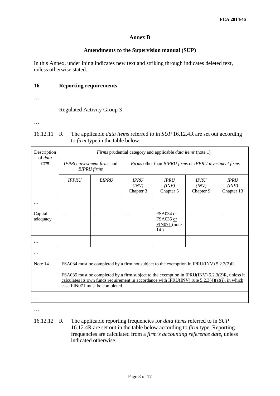# **Annex B**

### **Amendments to the Supervision manual (SUP)**

In this Annex, underlining indicates new text and striking through indicates deleted text, unless otherwise stated.

# **16 Reporting requirements**

…

Regulated Activity Group 3

…

| $16.12.11 \quad R$ | The applicable <i>data items</i> referred to in <i>SUP</i> 16.12.4R are set out according |
|--------------------|-------------------------------------------------------------------------------------------|
|                    | to <i>firm</i> type in the table below:                                                   |

| Description<br>of <i>data</i> | Firms prudential category and applicable <i>data items</i> (note 1) |                                                                                                                                                                                                                                                                                                                                  |                                                        |                                                 |                                   |                                    |  |
|-------------------------------|---------------------------------------------------------------------|----------------------------------------------------------------------------------------------------------------------------------------------------------------------------------------------------------------------------------------------------------------------------------------------------------------------------------|--------------------------------------------------------|-------------------------------------------------|-----------------------------------|------------------------------------|--|
| item                          |                                                                     | IFPRU investment firms and<br><b>BIPRU</b> firms                                                                                                                                                                                                                                                                                 | Firms other than BIPRU firms or IFPRU investment firms |                                                 |                                   |                                    |  |
|                               | <b>IFPRU</b>                                                        | <b>BIPRU</b>                                                                                                                                                                                                                                                                                                                     | <b>IPRU</b><br>(INV)<br>Chapter 3                      | <b>IPRU</b><br>(INV)<br>Chapter 5               | <b>IPRU</b><br>(INV)<br>Chapter 9 | <b>IPRU</b><br>(INV)<br>Chapter 13 |  |
|                               |                                                                     |                                                                                                                                                                                                                                                                                                                                  |                                                        |                                                 |                                   |                                    |  |
| Capital<br>adequacy           | .                                                                   | .                                                                                                                                                                                                                                                                                                                                | $\cdot$ $\cdot$ $\cdot$                                | FSA034 or<br>FSA035 or<br>$FIN071$ (note<br>14) | .                                 | $\ddotsc$                          |  |
|                               |                                                                     |                                                                                                                                                                                                                                                                                                                                  |                                                        |                                                 |                                   |                                    |  |
| .                             |                                                                     |                                                                                                                                                                                                                                                                                                                                  |                                                        |                                                 |                                   |                                    |  |
| Note 14                       |                                                                     | FSA034 must be completed by a firm not subject to the exemption in IPRU(INV) 5.2.3(2)R.<br>FSA035 must be completed by a firm subject to the exemption in IPRU(INV) 5.2.3(2)R, unless it<br>calculates its own funds requirement in accordance with IPRU(INV) rule $5.2.3(4)(a)(i)$ , in which<br>case FIN071 must be completed. |                                                        |                                                 |                                   |                                    |  |
|                               |                                                                     |                                                                                                                                                                                                                                                                                                                                  |                                                        |                                                 |                                   |                                    |  |

…

16.12.12 R The applicable reporting frequencies for *data items* referred to in *SUP*  16.12.4R are set out in the table below according to *firm* type. Reporting frequencies are calculated from a *firm's accounting reference date*, unless indicated otherwise.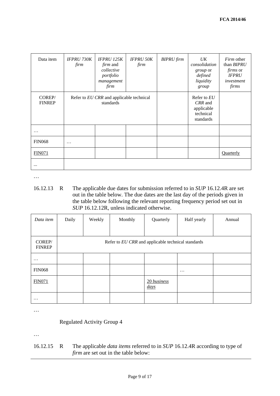| Data item               | <b>IFPRU 730K</b><br>firm                             | <b>IFPRU 125K</b><br><i>firm</i> and<br>collective<br>portfolio<br>management<br>firm | <b>IFPRU 50K</b><br>firm | <b>BIPRU</b> firm | UK<br>consolidation<br>group or<br>defined<br>liquidity<br>group | <i>Firm</i> other<br>than BIPRU<br><i>firms</i> or<br><b>IFPRU</b><br>investment<br>firms |
|-------------------------|-------------------------------------------------------|---------------------------------------------------------------------------------------|--------------------------|-------------------|------------------------------------------------------------------|-------------------------------------------------------------------------------------------|
| COREP/<br><b>FINREP</b> | Refer to EU CRR and applicable technical<br>standards |                                                                                       |                          |                   | Refer to $EU$<br>CRR and<br>applicable<br>technical<br>standards |                                                                                           |
| $\cdots$                |                                                       |                                                                                       |                          |                   |                                                                  |                                                                                           |
| <b>FIN068</b>           | .                                                     |                                                                                       |                          |                   |                                                                  |                                                                                           |
| <b>FIN071</b>           |                                                       |                                                                                       |                          |                   |                                                                  | Quarterly                                                                                 |
|                         |                                                       |                                                                                       |                          |                   |                                                                  |                                                                                           |

…

16.12.13 R The applicable due dates for submission referred to in *SUP* 16.12.4R are set out in the table below. The due dates are the last day of the periods given in the table below following the relevant reporting frequency period set out in *SUP* 16.12.12R, unless indicated otherwise.

| Data item               | Daily | Weekly                                             | Monthly | Quarterly                       | Half yearly | Annual |  |  |
|-------------------------|-------|----------------------------------------------------|---------|---------------------------------|-------------|--------|--|--|
|                         |       |                                                    |         |                                 |             |        |  |  |
| COREP/<br><b>FINREP</b> |       | Refer to EU CRR and applicable technical standards |         |                                 |             |        |  |  |
| $\ddotsc$               |       |                                                    |         |                                 |             |        |  |  |
| <b>FIN068</b>           |       |                                                    |         |                                 | $\cdots$    |        |  |  |
| <b>FIN071</b>           |       |                                                    |         | 20 business<br>$\frac{days}{9}$ |             |        |  |  |
| $\cdots$                |       |                                                    |         |                                 |             |        |  |  |

…

Regulated Activity Group 4

…

16.12.15 R The applicable *data items* referred to in *SUP* 16.12.4R according to type of *firm* are set out in the table below: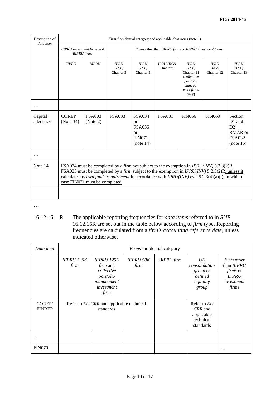| Description of<br>data item | Firms' prudential category and applicable <i>data items</i> (note 1) |                                                                                                                                                                                                                                                                                                                                                           |                                                        |                                                                                 |                               |                                                                                                         |                                    |                                                                  |
|-----------------------------|----------------------------------------------------------------------|-----------------------------------------------------------------------------------------------------------------------------------------------------------------------------------------------------------------------------------------------------------------------------------------------------------------------------------------------------------|--------------------------------------------------------|---------------------------------------------------------------------------------|-------------------------------|---------------------------------------------------------------------------------------------------------|------------------------------------|------------------------------------------------------------------|
|                             | IFPRU investment firms and<br><b>BIPRU</b> firms                     |                                                                                                                                                                                                                                                                                                                                                           | Firms other than BIPRU firms or IFPRU investment firms |                                                                                 |                               |                                                                                                         |                                    |                                                                  |
|                             | <b>IFPRU</b>                                                         | <b>BIPRU</b>                                                                                                                                                                                                                                                                                                                                              | <b>IPRU</b><br>(INV)<br>Chapter 3                      | <b>IPRU</b><br>(INV)<br>Chapter 5                                               | $IPRU$ ( $INV$ )<br>Chapter 9 | <b>IPRU</b><br>(INV)<br>Chapter 11<br><i>(collective</i><br>portfolio<br>manage-<br>ment firms<br>only) | <b>IPRU</b><br>(INV)<br>Chapter 12 | <b>IPRU</b><br>(INV)<br>Chapter 13                               |
|                             |                                                                      |                                                                                                                                                                                                                                                                                                                                                           |                                                        |                                                                                 |                               |                                                                                                         |                                    |                                                                  |
| Capital<br>adequacy         | <b>COREP</b><br>(Note 34)                                            | <b>FSA003</b><br>(Note 2)                                                                                                                                                                                                                                                                                                                                 | <b>FSA033</b>                                          | <b>FSA034</b><br>or<br><b>FSA035</b><br><b>or</b><br><b>FIN071</b><br>(note 14) | <b>FSA031</b>                 | <b>FIN066</b>                                                                                           | <b>FIN069</b>                      | Section<br>D1 and<br>D2<br>RMAR or<br><b>FSA032</b><br>(note 15) |
| .                           |                                                                      |                                                                                                                                                                                                                                                                                                                                                           |                                                        |                                                                                 |                               |                                                                                                         |                                    |                                                                  |
| Note 14                     |                                                                      | FSA034 must be completed by a <i>firm</i> not subject to the exemption in <i>IPRU(INV)</i> 5.2.3(2)R.<br>FSA035 must be completed by a firm subject to the exemption in IPRU(INV) 5.2.3(2)R, unless it<br>calculates its <i>own funds requirement</i> in accordance with <i>IPRU(INV)</i> rule 5.2.3(4)(a)(i), in which<br>case FIN071 must be completed. |                                                        |                                                                                 |                               |                                                                                                         |                                    |                                                                  |
|                             |                                                                      |                                                                                                                                                                                                                                                                                                                                                           |                                                        |                                                                                 |                               |                                                                                                         |                                    |                                                                  |

…

16.12.16 R The applicable reporting frequencies for *data items* referred to in *SUP*  16.12.15R are set out in the table below according to *firm* type. Reporting frequencies are calculated from a *firm's accounting reference date*, unless indicated otherwise.

| Data item               | Firms' prudential category                            |                                                                                                     |                          |                   |                                                                                 |                                                                                           |
|-------------------------|-------------------------------------------------------|-----------------------------------------------------------------------------------------------------|--------------------------|-------------------|---------------------------------------------------------------------------------|-------------------------------------------------------------------------------------------|
|                         | <b>IFPRU 730K</b><br>firm                             | <b>IFPRU 125K</b><br><i>firm</i> and<br>collective<br>portfolio<br>management<br>investment<br>firm | <b>IFPRU 50K</b><br>firm | <b>BIPRU</b> firm | $U\bar{K}$<br>consolidation<br><i>group</i> or<br>defined<br>liquidity<br>group | <i>Firm</i> other<br>than BIPRU<br><i>firms</i> or<br><b>IFPRU</b><br>investment<br>firms |
| COREP/<br><b>FINREP</b> | Refer to EU CRR and applicable technical<br>standards |                                                                                                     |                          |                   | Refer to EU<br>CRR and<br>applicable<br>technical<br>standards                  |                                                                                           |
|                         |                                                       |                                                                                                     |                          |                   |                                                                                 |                                                                                           |
| <b>FIN070</b>           |                                                       |                                                                                                     |                          |                   |                                                                                 | .                                                                                         |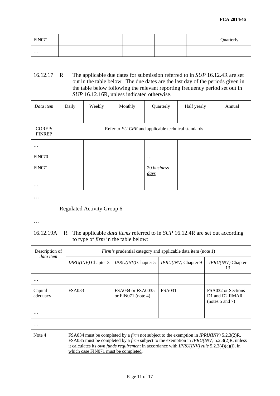| <b>FIN071</b> |  |  | $\Omega$ uarterly<br>Juan win |
|---------------|--|--|-------------------------------|
| $\cdots$      |  |  |                               |

16.12.17 R The applicable due dates for submission referred to in *SUP* 16.12.4R are set out in the table below. The due dates are the last day of the periods given in the table below following the relevant reporting frequency period set out in *SUP* 16.12.16R, unless indicated otherwise.

| Data item               | Daily                                              | Weekly | Monthly | Quarterly                       | Half yearly | Annual |  |
|-------------------------|----------------------------------------------------|--------|---------|---------------------------------|-------------|--------|--|
| COREP/<br><b>FINREP</b> | Refer to EU CRR and applicable technical standards |        |         |                                 |             |        |  |
| $\cdots$                |                                                    |        |         |                                 |             |        |  |
| <b>FIN070</b>           |                                                    |        |         | $\cdots$                        |             |        |  |
| <b>FIN071</b>           |                                                    |        |         | 20 business<br>$\frac{days}{9}$ |             |        |  |
| $\cdots$                |                                                    |        |         |                                 |             |        |  |

…

# Regulated Activity Group 6

…

# 16.12.19A R The applicable *data items* referred to in *SUP* 16.12.4R are set out according to type of *firm* in the table below:

| Description of<br>data item | <i>Firm's</i> prudential category and applicable data item (note 1) |                                                                                                                                                                                                                                                                                                                                 |                            |                                                                |  |  |
|-----------------------------|---------------------------------------------------------------------|---------------------------------------------------------------------------------------------------------------------------------------------------------------------------------------------------------------------------------------------------------------------------------------------------------------------------------|----------------------------|----------------------------------------------------------------|--|--|
|                             | IPRU(INV) Chapter 3                                                 | <i>IPRU(INV)</i> Chapter 5                                                                                                                                                                                                                                                                                                      | <i>IPRU(INV)</i> Chapter 9 | IPRU(INV) Chapter<br>13                                        |  |  |
|                             |                                                                     |                                                                                                                                                                                                                                                                                                                                 |                            |                                                                |  |  |
| Capital<br>adequacy         | <b>FSA033</b>                                                       | <b>FSA034 or FSA0035</b><br>or $FIN071$ (note 4)                                                                                                                                                                                                                                                                                | <b>FSA031</b>              | <b>FSA032</b> or Sections<br>D1 and D2 RMAR<br>(notes 5 and 7) |  |  |
|                             |                                                                     |                                                                                                                                                                                                                                                                                                                                 |                            |                                                                |  |  |
| $\ddotsc$                   |                                                                     |                                                                                                                                                                                                                                                                                                                                 |                            |                                                                |  |  |
| Note 4                      | which case FIN071 must be completed.                                | FSA034 must be completed by a <i>firm</i> not subject to the exemption in <i>IPRU(INV)</i> 5.2.3(2)R.<br>FSA035 must be completed by a <i>firm</i> subject to the exemption in <i>IPRU(INV)</i> 5.2.3(2)R, unless<br>it calculates its <i>own funds requirement</i> in accordance with <i>IPRU(INV) rule</i> 5.2.3(4)(a)(i), in |                            |                                                                |  |  |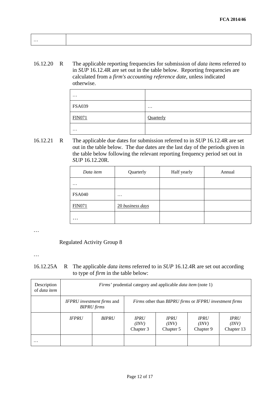| . |  |  |
|---|--|--|
|   |  |  |
|   |  |  |

16.12.20 R The applicable reporting frequencies for submission of *data items* referred to in *SUP* 16.12.4R are set out in the table below. Reporting frequencies are calculated from a *firm's accounting reference date*, unless indicated otherwise.

| $\cdots$      |           |
|---------------|-----------|
| <b>FSA039</b> | $\cdots$  |
| <b>FIN071</b> | Quarterly |
| $\ddotsc$     |           |

16.12.21 R The applicable due dates for submission referred to in *SUP* 16.12.4R are set out in the table below. The due dates are the last day of the periods given in the table below following the relevant reporting frequency period set out in *SUP* 16.12.20R.

| Data item     | Quarterly        | Half yearly | Annual |
|---------------|------------------|-------------|--------|
| $\cdots$      |                  |             |        |
| <b>FSA040</b> | $\cdots$         |             |        |
| <b>FIN071</b> | 20 business days |             |        |
| $\cdots$      |                  |             |        |

…

# Regulated Activity Group 8

…

16.12.25A R The applicable *data items* referred to in *SUP* 16.12.4R are set out according to type of *firm* in the table below:

| Description<br>of data item | <i>Firms'</i> prudential category and applicable <i>data item</i> (note 1) |              |                                                        |                                   |                                   |                                    |
|-----------------------------|----------------------------------------------------------------------------|--------------|--------------------------------------------------------|-----------------------------------|-----------------------------------|------------------------------------|
|                             | IFPRU investment firms and<br><b>BIPRU</b> firms                           |              | Firms other than BIPRU firms or IFPRU investment firms |                                   |                                   |                                    |
|                             | <b>IFPRU</b>                                                               | <b>BIPRU</b> | <b>IPRU</b><br>(INV)<br>Chapter 3                      | <b>IPRU</b><br>(INV)<br>Chapter 5 | <b>IPRU</b><br>(INV)<br>Chapter 9 | <b>IPRU</b><br>(INV)<br>Chapter 13 |
| $\cdots$                    |                                                                            |              |                                                        |                                   |                                   |                                    |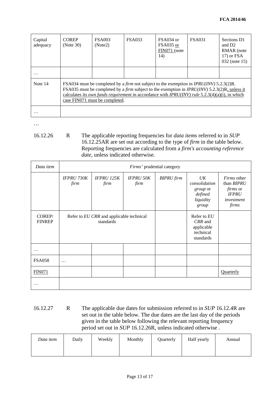| Capital<br>adequacy | <b>COREP</b><br>(Note 30)                                                                                                                                                                                                                                                                                                                                               | <b>FSA003</b><br>(Note2) | <b>FSA033</b> | FSA034 or<br>FSA035 or<br>FIN071 (note<br>14) | <b>FSA031</b> | Sections D1<br>and D <sub>2</sub><br>RMAR (note<br>17) or FSA<br>032 (note 15) |
|---------------------|-------------------------------------------------------------------------------------------------------------------------------------------------------------------------------------------------------------------------------------------------------------------------------------------------------------------------------------------------------------------------|--------------------------|---------------|-----------------------------------------------|---------------|--------------------------------------------------------------------------------|
| $\cdot\cdot\cdot$   |                                                                                                                                                                                                                                                                                                                                                                         |                          |               |                                               |               |                                                                                |
| Note 14             | FSA034 must be completed by a <i>firm</i> not subject to the exemption in <i>IPRU(INV)</i> 5.2.3(2)R.<br>FSA035 must be completed by a <i>firm</i> subject to the exemption in <i>IPRU(INV)</i> 5.2.3(2)R, unless it<br>calculates its <i>own funds requirement</i> in accordance with <i>IPRU(INV) rule</i> 5.2.3(4)(a)(i), in which<br>case FIN071 must be completed. |                          |               |                                               |               |                                                                                |
| $\cdots$            |                                                                                                                                                                                                                                                                                                                                                                         |                          |               |                                               |               |                                                                                |

…

16.12.26 R The applicable reporting frequencies for *data items* referred to in *SUP*  16.12.25AR are set out according to the type of *firm* in the table below. Reporting frequencies are calculated from a *firm's accounting reference date*, unless indicated otherwise.

| Data item               | Firms' prudential category                            |                           |                          |                   |                                                                  |                                                                                            |
|-------------------------|-------------------------------------------------------|---------------------------|--------------------------|-------------------|------------------------------------------------------------------|--------------------------------------------------------------------------------------------|
|                         | <b>IFPRU 730K</b><br>firm                             | <b>IFPRU 125K</b><br>firm | <b>IFPRU 50K</b><br>firm | <b>BIPRU</b> firm | UK<br>consolidation<br>group or<br>defined<br>liquidity<br>group | <i>Firms</i> other<br>than BIPRU<br><i>firms</i> or<br><b>IFPRU</b><br>investment<br>firms |
| COREP/<br><b>FINREP</b> | Refer to EU CRR and applicable technical<br>standards |                           |                          |                   | Refer to EU<br>CRR and<br>applicable<br>technical<br>standards   |                                                                                            |
| $\ddotsc$               |                                                       |                           |                          |                   |                                                                  |                                                                                            |
| <b>FSA058</b>           | $\cdots$                                              |                           |                          |                   |                                                                  |                                                                                            |
| <b>FIN071</b>           |                                                       |                           |                          |                   |                                                                  | Quarterly                                                                                  |
| $\cdot$ .               |                                                       |                           |                          |                   |                                                                  |                                                                                            |

16.12.27 R The applicable due dates for submission referred to in *SUP* 16.12.4R are set out in the table below. The due dates are the last day of the periods given in the table below following the relevant reporting frequency period set out in *SUP* 16.12.26R, unless indicated otherwise .

| Data item | Daily | Weekly | Monthly | <b>Ouarterly</b> | Half yearly | Annual |
|-----------|-------|--------|---------|------------------|-------------|--------|
|           |       |        |         |                  |             |        |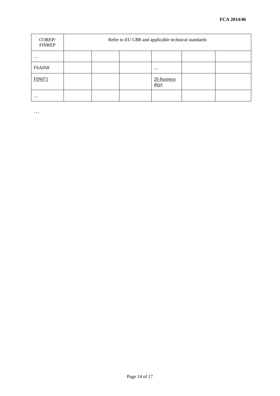| COREP/<br><b>FINREP</b> | Refer to EU CRR and applicable technical standards |  |  |                     |  |
|-------------------------|----------------------------------------------------|--|--|---------------------|--|
| $\ddotsc$               |                                                    |  |  |                     |  |
| <b>FSA058</b>           |                                                    |  |  | $\cdots$            |  |
| <b>FIN071</b>           |                                                    |  |  | 20 business<br>days |  |
| $\ddotsc$               |                                                    |  |  |                     |  |

…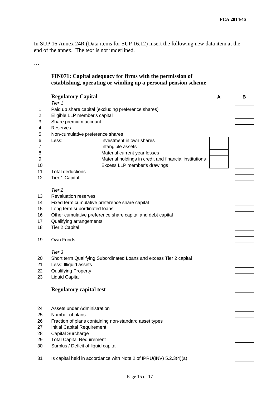In SUP 16 Annex 24R (Data items for SUP 16.12) insert the following new data item at the end of the annex. The text is not underlined.

…

# **FIN071: Capital adequacy for firms with the permission of establishing, operating or winding up a personal pension scheme**

|                                        | <b>Regulatory Capital</b><br>Tier 1                                                                                                                                                                                                           |                                                                                                                                         | А | B |  |  |
|----------------------------------------|-----------------------------------------------------------------------------------------------------------------------------------------------------------------------------------------------------------------------------------------------|-----------------------------------------------------------------------------------------------------------------------------------------|---|---|--|--|
| 1<br>2                                 | Paid up share capital (excluding preference shares)<br>Eligible LLP member's capital                                                                                                                                                          |                                                                                                                                         |   |   |  |  |
| 3<br>4                                 | Share premium account<br><b>Reserves</b>                                                                                                                                                                                                      |                                                                                                                                         |   |   |  |  |
| 5                                      | Non-cumulative preference shares                                                                                                                                                                                                              |                                                                                                                                         |   |   |  |  |
| 6<br>7<br>8<br>9                       | Less:                                                                                                                                                                                                                                         | Investment in own shares<br>Intangible assets<br>Material current year losses<br>Material holdings in credit and financial institutions |   |   |  |  |
| 10                                     |                                                                                                                                                                                                                                               | Excess LLP member's drawings                                                                                                            |   |   |  |  |
| 11<br>12                               | <b>Total deductions</b><br>Tier 1 Capital                                                                                                                                                                                                     |                                                                                                                                         |   |   |  |  |
| 13<br>14<br>15<br>16<br>17<br>18       | Tier <sub>2</sub><br><b>Revaluation reserves</b><br>Fixed term cumulative preference share capital<br>Long term subordinated loans<br>Other cumulative preference share capital and debt capital<br>Qualifying arrangements<br>Tier 2 Capital |                                                                                                                                         |   |   |  |  |
| 19                                     | Own Funds                                                                                                                                                                                                                                     |                                                                                                                                         |   |   |  |  |
| 20<br>21<br>22<br>23                   | Tier 3<br>Less: Illiquid assets<br><b>Qualifying Property</b><br><b>Liquid Capital</b>                                                                                                                                                        | Short term Qualifying Subordinated Loans and excess Tier 2 capital                                                                      |   |   |  |  |
|                                        | <b>Regulatory capital test</b>                                                                                                                                                                                                                |                                                                                                                                         |   |   |  |  |
| 24<br>25<br>26<br>27<br>28<br>29<br>30 | Assets under Administration<br>Number of plans<br><b>Initial Capital Requirement</b><br><b>Capital Surcharge</b><br><b>Total Capital Requirement</b><br>Surplus / Deficit of liquid capital                                                   | Fraction of plans containing non-standard asset types                                                                                   |   |   |  |  |
| 31                                     | Is capital held in accordance with Note 2 of IPRU(INV) 5.2.3(4)(a)                                                                                                                                                                            |                                                                                                                                         |   |   |  |  |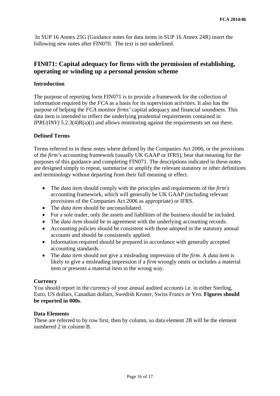In SUP 16 Annex 25G (Guidance notes for data items in SUP 16 Annex 24R) insert the following new notes after FIN070. The text is not underlined.

# **FIN071: Capital adequacy for firms with the permission of establishing, operating or winding up a personal pension scheme**

# **Introduction**

The purpose of reporting form FIN071 is to provide a framework for the collection of information required by the *FCA* as a basis for its supervision activities. It also has the purpose of helping the *FCA* monitor *firms'* capital adequacy and financial soundness. This data item is intended to reflect the underlying prudential requirements contained in *IPRU(INV)* 5.2.3(4)R(a)(i) and allows monitoring against the requirements set out there.

### **Defined Terms**

Terms referred to in these notes where defined by the Companies Act 2006, or the provisions of the *firm's* accounting framework (usually UK GAAP or IFRS), bear that meaning for the purposes of this guidance and completing FIN071. The descriptions indicated in these notes are designed simply to repeat, summarise or amplify the relevant statutory or other definitions and terminology without departing from their full meaning or effect.

- The *data item* should comply with the principles and requirements of the *firm's* accounting framework, which will generally be UK GAAP (including relevant provisions of the Companies Act 2006 as appropriate) or IFRS.
- The *data item* should be unconsolidated.
- For a sole trader, only the assets and liabilities of the business should be included.
- The *data item* should be in agreement with the underlying accounting records.
- Accounting policies should be consistent with those adopted in the statutory annual accounts and should be consistently applied.
- Information required should be prepared in accordance with generally accepted accounting standards.
- The *data item* should not give a misleading impression of the *firm.* A *data item* is likely to give a misleading impression if a *firm* wrongly omits or includes a material item or presents a material item in the wrong way.

### **Currency**

You should report in the currency of your annual audited accounts i.e. in either Sterling, Euro, US dollars, Canadian dollars, Swedish Kroner, Swiss Francs or Yen. **Figures should be reported in 000s**.

### **Data Elements**

These are referred to by row first, then by column, so data element 2B will be the element numbered 2 in column B.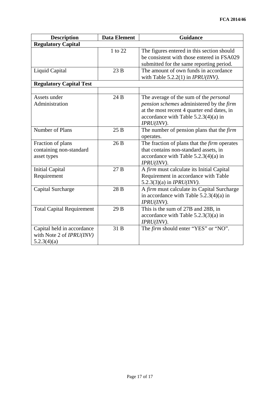| <b>Description</b>                                                           | <b>Data Element</b> | <b>Guidance</b>                                                                                                                                                                                    |  |  |  |  |
|------------------------------------------------------------------------------|---------------------|----------------------------------------------------------------------------------------------------------------------------------------------------------------------------------------------------|--|--|--|--|
| <b>Regulatory Capital</b>                                                    |                     |                                                                                                                                                                                                    |  |  |  |  |
|                                                                              | 1 to 22             | The figures entered in this section should<br>be consistent with those entered in FSA029<br>submitted for the same reporting period.                                                               |  |  |  |  |
| <b>Liquid Capital</b>                                                        | 23B                 | The amount of own funds in accordance<br>with Table 5.2.2(1) in $IPRU(INV)$ .                                                                                                                      |  |  |  |  |
| <b>Regulatory Capital Test</b>                                               |                     |                                                                                                                                                                                                    |  |  |  |  |
|                                                                              |                     |                                                                                                                                                                                                    |  |  |  |  |
| Assets under<br>Administration                                               | 24 B                | The average of the sum of the <i>personal</i><br>pension schemes administered by the firm<br>at the most recent 4 quarter end dates, in<br>accordance with Table $5.2.3(4)(a)$ in<br>$IPRU(INV)$ . |  |  |  |  |
| Number of Plans                                                              | 25B                 | The number of pension plans that the <i>firm</i><br>operates.                                                                                                                                      |  |  |  |  |
| Fraction of plans<br>containing non-standard<br>asset types                  | 26 B                | The fraction of plans that the <i>firm</i> operates<br>that contains non-standard assets, in<br>accordance with Table $5.2.3(4)(a)$ in<br>IPRU(INV).                                               |  |  |  |  |
| <b>Initial Capital</b><br>Requirement                                        | 27B                 | A firm must calculate its Initial Capital<br>Requirement in accordance with Table<br>5.2.3(3)(a) in <i>IPRU(INV)</i> .                                                                             |  |  |  |  |
| Capital Surcharge                                                            | 28 B                | A firm must calculate its Capital Surcharge<br>in accordance with Table $5.2.3(4)(a)$ in<br>$IPRU(INV)$ .                                                                                          |  |  |  |  |
| <b>Total Capital Requirement</b>                                             | 29 B                | This is the sum of 27B and 28B, in<br>accordance with Table $5.2.3(3)(a)$ in<br>$IPRU(INV)$ .                                                                                                      |  |  |  |  |
| Capital held in accordance<br>with Note 2 of <i>IPRU(INV)</i><br>5.2.3(4)(a) | 31 B                | The firm should enter "YES" or "NO".                                                                                                                                                               |  |  |  |  |